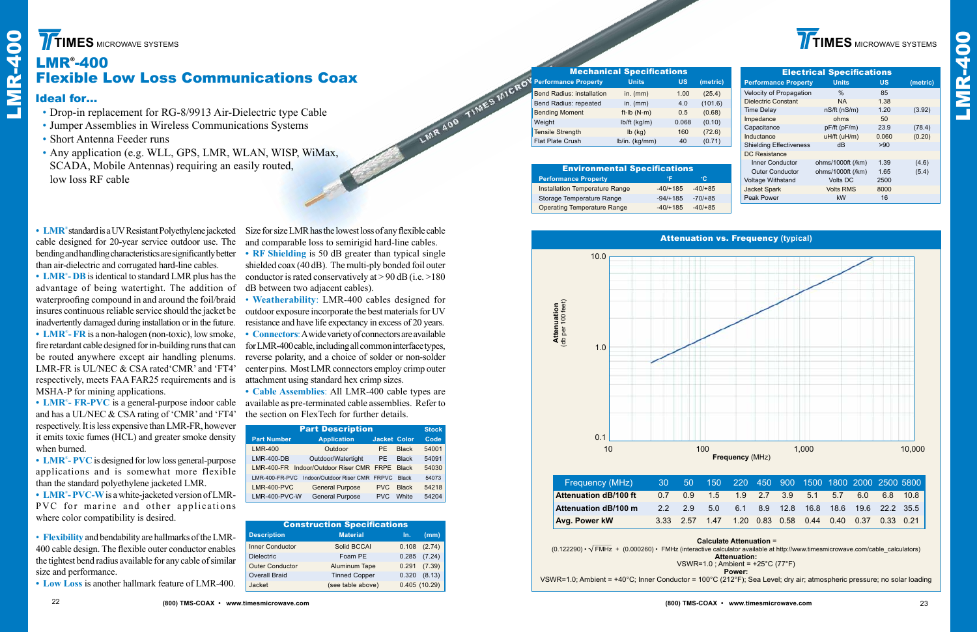**TIMES** MICROWAVE SYSTEMS



## LMR® -400 Flexible Low Loss Communications Coax

### Ideal for…

- Drop-in replacement for RG-8/9913 Air-Dielectric type Cable
- Jumper Assemblies in Wireless Communications Systems
- Short Antenna Feeder runs
- • Any application (e.g. WLL, GPS, LMR, WLAN, WISP, WiMax, SCADA, Mobile Antennas) requiring an easily routed, low loss RF cable

Size for size LMR has the lowest loss of any flexible cable and comparable loss to semirigid hard-line cables.

LMR 400 TIMES MICROV

• Connectors: A wide variety of connectors are available for LMR-400 cable, including all common interface types, reverse polarity, and a choice of solder or non-solder center pins. Most LMR connectors employ crimp outer attachment using standard hex crimp sizes.

• LMR<sup>®</sup> standard is a UV Resistant Polyethylene jacketed cable designed for 20-year service outdoor use. The bending and handling characteristics are significantly better than air-dielectric and corrugated hard-line cables.

advantage of being watertight. The addition of waterproofing compound in and around the foil/braid insures continuous reliable service should the jacket be inadvertently damaged during installation or in the future. **• LMR**® **- FR** is a non-halogen (non-toxic), low smoke, fire retardant cable designed for in-building runs that can **FITMES MICHOWE SYSTEMS**<br> **EXERCUTE:**<br> **EXERCUTE:**<br> **EXERCUTE:**<br> **EXERCUTE:**<br> **• Long-in replacement for RG-879913 Air-Diversity of Loss is another summarized with**  $\sim$  **Jumper Assemblies in Wireless Communical expansion (e** 

**• RF Shielding** is 50 dB greater than typical single shielded coax (40 dB). The multi-ply bonded foil outer • LMR<sup>®</sup>-DB is identical to standard LMR plus has the conductor is rated conservatively at > 90 dB (i.e. >180) dB between two adjacent cables).

> • **Weatherability**: LMR-400 cables designed for outdoor exposure incorporate the best materials for UV resistance and have life expectancy in excess of 20 years.

• LMR<sup>®</sup>-PVC is designed for low loss general-purpose applications and is somewhat more flexible than the standard polyethylene jacketed LMR.

**• Cable Assemblies**: All LMR-400 cable types are available as pre-terminated cable assemblies. Refer to the section on FlexTech for further details.

|                                       | <b>Mechanical Specifications</b> |            | <b>Electrical Specifications</b> |  |                                |                                             |           |  |
|---------------------------------------|----------------------------------|------------|----------------------------------|--|--------------------------------|---------------------------------------------|-----------|--|
| <b>Performance Property</b>           | <b>Units</b>                     | <b>US</b>  | (metric)                         |  |                                | <b>Performance Property</b><br><b>Units</b> | <b>US</b> |  |
| <b>Bend Radius: installation</b>      | in. $(mm)$                       | 1.00       | (25.4)                           |  | Velocity of Propagation        | $\%$                                        | 85        |  |
| Bend Radius: repeated                 | in. $(mm)$                       | 4.0        | (101.6)                          |  | <b>Dielectric Constant</b>     | <b>NA</b>                                   | 1.38      |  |
| <b>Bending Moment</b>                 | ft-Ib $(N-m)$                    | 0.5        | (0.68)                           |  | Time Delay                     | nS/ft(nS/m)                                 | 1.20      |  |
| Weight                                | $lb/ft$ (kg/m)                   | 0.068      | (0.10)                           |  | Impedance                      | ohms                                        | 50        |  |
| <b>Tensile Strength</b>               | $lb$ (kg)                        | 160        | (72.6)                           |  | Capacitance                    | $pF/ft$ ( $pF/m$ )                          | 23.9      |  |
|                                       |                                  |            |                                  |  | Inductance                     | $uH/ft$ ( $uH/m$ )                          | 0.060     |  |
| Flat Plate Crush                      | lb/in. (kg/mm)                   | 40         | (0.71)                           |  | <b>Shielding Effectiveness</b> | dB                                          | >90       |  |
|                                       |                                  |            |                                  |  | <b>DC Resistance</b>           |                                             |           |  |
|                                       |                                  |            |                                  |  | <b>Inner Conductor</b>         | ohms/1000ft (/km)                           | 1.39      |  |
| <b>Environmental Specifications</b>   |                                  |            |                                  |  | <b>Outer Conductor</b>         | ohms/1000ft (/km)                           | 1.65      |  |
| <b>Performance Property</b>           |                                  | °F         | $\mathbf{C}$                     |  | <b>Voltage Withstand</b>       | <b>Volts DC</b>                             | 2500      |  |
| <b>Installation Temperature Range</b> |                                  | $-40/+185$ | $-40/ + 85$                      |  | <b>Jacket Spark</b>            | <b>Volts RMS</b>                            | 8000      |  |
| Storage Temperature Range             |                                  | $-94/+185$ | $-70/+85$                        |  | Peak Power                     | kW                                          | 16        |  |
|                                       |                                  | $\cdots$   | $\cdots$                         |  |                                |                                             |           |  |

be routed anywhere except air handling plenums. LMR-FR is UL/NEC & CSA rated'CMR' and 'FT4' respectively, meets FAA FAR25 requirements and is MSHA-P for mining applications.

**• LMR**® **- FR-PVC** is a general-purpose indoor cable and has a UL/NEC & CSA rating of 'CMR' and 'FT4' respectively.Itisless expensive thanLMR-FR, however it emits toxic fumes (HCL) and greater smoke density when burned.

**• LMR**® **- PVC-W**is awhite-jacketed version ofLMR-PVC for marine and other applications where color compatibility is desired.

• **Flexibility** and bendability are hallmarks oftheLMR-400 cable design. The flexible outer conductor enables the tightest bend radius available for any cable of similar size and performance.

### Attenuation vs. Frequency **(typical)**

|  |  | 0 220 450 900 1500 1800 2000 2500 5800            |  |  |
|--|--|---------------------------------------------------|--|--|
|  |  | $\frac{1}{2}$ 1.9 2.7 3.9 5.1 5.7 6.0 6.8 10.8    |  |  |
|  |  | 6.1 8.9 12.8 16.8 18.6 19.6 22.2 35.5             |  |  |
|  |  | 7  1.20  0.83  0.58  0.44  0.40  0.37  0.33  0.21 |  |  |

| <b>Environmental Specifications</b>   |            |              |  |  |  |  |  |  |  |  |
|---------------------------------------|------------|--------------|--|--|--|--|--|--|--|--|
| <b>Performance Property</b>           | °F         | $^{\circ}$ C |  |  |  |  |  |  |  |  |
| <b>Installation Temperature Range</b> | $-40/+185$ | $-40/ + 85$  |  |  |  |  |  |  |  |  |
| Storage Temperature Range             | $-94/+185$ | $-70/+85$    |  |  |  |  |  |  |  |  |
| <b>Operating Temperature Range</b>    | $-40/+185$ | $-40/ + 85$  |  |  |  |  |  |  |  |  |



| <b>Construction Specifications</b> |                      |       |              |  |  |  |  |  |  |  |
|------------------------------------|----------------------|-------|--------------|--|--|--|--|--|--|--|
| <b>Description</b>                 | <b>Material</b>      | In.   | (mm)         |  |  |  |  |  |  |  |
| <b>Inner Conductor</b>             | Solid BCCAI          | 0.108 | (2.74)       |  |  |  |  |  |  |  |
| <b>Dielectric</b>                  | Foam PE              | 0.285 | (7.24)       |  |  |  |  |  |  |  |
| <b>Outer Conductor</b>             | Aluminum Tape        | 0.291 | (7.39)       |  |  |  |  |  |  |  |
| <b>Overall Braid</b>               | <b>Tinned Copper</b> | 0.320 | (8.13)       |  |  |  |  |  |  |  |
| Jacket                             | (see table above)    |       | 0.405(10.29) |  |  |  |  |  |  |  |

| <b>Part Description</b> |                                          |                     |              |       |  |  |  |  |  |
|-------------------------|------------------------------------------|---------------------|--------------|-------|--|--|--|--|--|
| <b>Part Number</b>      | <b>Application</b>                       | <b>Jacket Color</b> |              | Code  |  |  |  |  |  |
| <b>LMR-400</b>          | Outdoor                                  | <b>PF</b>           | <b>Black</b> | 54001 |  |  |  |  |  |
| $LMR-400-DB$            | Outdoor/Watertight                       | PF.                 | <b>Black</b> | 54091 |  |  |  |  |  |
|                         | LMR-400-FR Indoor/Outdoor Riser CMR FRPE |                     | <b>Black</b> | 54030 |  |  |  |  |  |
| LMR-400-FR-PVC          | Indoor/Outdoor Riser CMR FRPVC           |                     | <b>Black</b> | 54073 |  |  |  |  |  |
| <b>LMR-400-PVC</b>      | <b>General Purpose</b>                   | PVC.                | <b>Black</b> | 54218 |  |  |  |  |  |
| LMR-400-PVC-W           | <b>General Purpose</b>                   | <b>PVC</b>          | <b>White</b> | 54204 |  |  |  |  |  |

**Power:**

VSWR=1.0; Ambient = +40°C; Inner Conductor = 100°C (212°F); Sea Level; dry air; atmospheric pressure; no solar loading